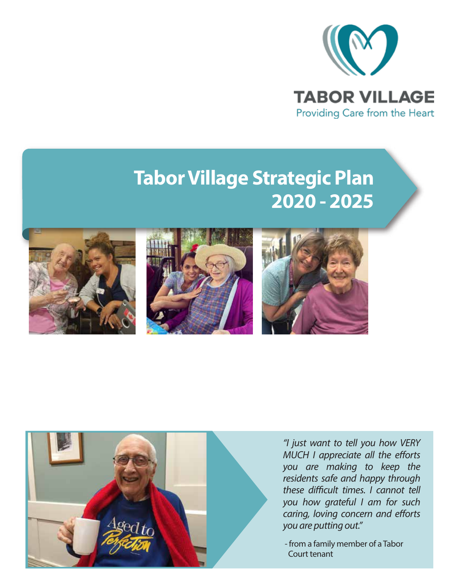

# **Tabor Village Strategic Plan 2020 - 2025**









*"I just want to tell you how VERY MUCH I appreciate all the efforts you are making to keep the residents safe and happy through*  these difficult times. I cannot tell *you how grateful I am for such caring, loving concern and efforts you are putting out."*

 - from a family member of a Tabor Court tenant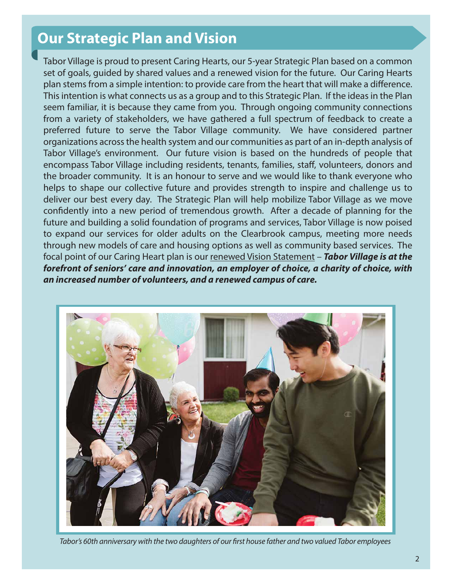# **Our Strategic Plan and Vision**

Tabor Village is proud to present Caring Hearts, our 5-year Strategic Plan based on a common set of goals, guided by shared values and a renewed vision for the future. Our Caring Hearts plan stems from a simple intention: to provide care from the heart that will make a difference. This intention is what connects us as a group and to this Strategic Plan. If the ideas in the Plan seem familiar, it is because they came from you. Through ongoing community connections from a variety of stakeholders, we have gathered a full spectrum of feedback to create a preferred future to serve the Tabor Village community. We have considered partner organizations across the health system and our communities as part of an in-depth analysis of Tabor Village's environment. Our future vision is based on the hundreds of people that encompass Tabor Village including residents, tenants, families, staff, volunteers, donors and the broader community. It is an honour to serve and we would like to thank everyone who helps to shape our collective future and provides strength to inspire and challenge us to deliver our best every day. The Strategic Plan will help mobilize Tabor Village as we move confidently into a new period of tremendous growth. After a decade of planning for the future and building a solid foundation of programs and services, Tabor Village is now poised to expand our services for older adults on the Clearbrook campus, meeting more needs through new models of care and housing options as well as community based services. The focal point of our Caring Heart plan is our renewed Vision Statement – *Tabor Village is at the forefront of seniors' care and innovation, an employer of choice, a charity of choice, with an increased number of volunteers, and a renewed campus of care.*



Tabor's 60th anniversary with the two daughters of our first house father and two valued Tabor employees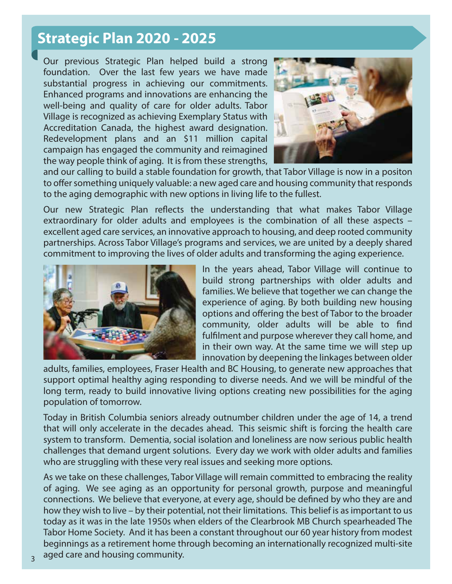### **Strategic Plan 2020 - 2025**

Our previous Strategic Plan helped build a strong foundation. Over the last few years we have made substantial progress in achieving our commitments. Enhanced programs and innovations are enhancing the well-being and quality of care for older adults. Tabor Village is recognized as achieving Exemplary Status with Accreditation Canada, the highest award designation. Redevelopment plans and an \$11 million capital campaign has engaged the community and reimagined the way people think of aging. It is from these strengths,



and our calling to build a stable foundation for growth, that Tabor Village is now in a positon to offer something uniquely valuable: a new aged care and housing community that responds to the aging demographic with new options in living life to the fullest.

Our new Strategic Plan reflects the understanding that what makes Tabor Village extraordinary for older adults and employees is the combination of all these aspects – excellent aged care services, an innovative approach to housing, and deep rooted community partnerships. Across Tabor Village's programs and services, we are united by a deeply shared commitment to improving the lives of older adults and transforming the aging experience.



In the years ahead, Tabor Village will continue to build strong partnerships with older adults and families. We believe that together we can change the experience of aging. By both building new housing options and offering the best of Tabor to the broader community, older adults will be able to find fulfilment and purpose wherever they call home, and in their own way. At the same time we will step up innovation by deepening the linkages between older

adults, families, employees, Fraser Health and BC Housing, to generate new approaches that support optimal healthy aging responding to diverse needs. And we will be mindful of the long term, ready to build innovative living options creating new possibilities for the aging population of tomorrow.

Today in British Columbia seniors already outnumber children under the age of 14, a trend that will only accelerate in the decades ahead. This seismic shift is forcing the health care system to transform. Dementia, social isolation and loneliness are now serious public health challenges that demand urgent solutions. Every day we work with older adults and families who are struggling with these very real issues and seeking more options.

As we take on these challenges, Tabor Village will remain committed to embracing the reality of aging. We see aging as an opportunity for personal growth, purpose and meaningful connections. We believe that everyone, at every age, should be defined by who they are and how they wish to live – by their potential, not their limitations. This belief is as important to us today as it was in the late 1950s when elders of the Clearbrook MB Church spearheaded The Tabor Home Society. And it has been a constant throughout our 60 year history from modest beginnings as a retirement home through becoming an internationally recognized multi-site aged care and housing community.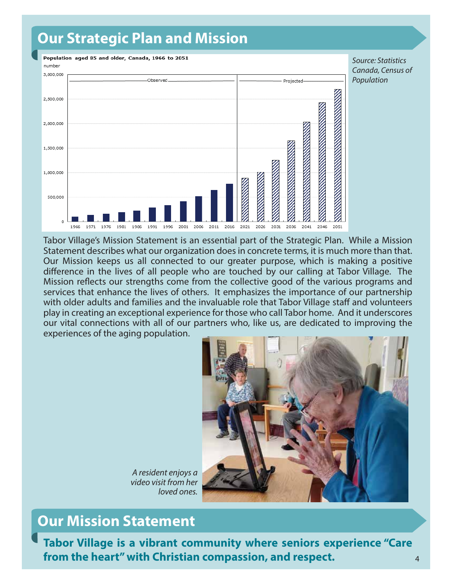# **Our Strategic Plan and Mission**



*Source: Statistics Canada, Census of Population*

Tabor Village's Mission Statement is an essential part of the Strategic Plan. While a Mission Statement describes what our organization does in concrete terms, it is much more than that. Our Mission keeps us all connected to our greater purpose, which is making a positive difference in the lives of all people who are touched by our calling at Tabor Village. The Mission reflects our strengths come from the collective good of the various programs and services that enhance the lives of others. It emphasizes the importance of our partnership with older adults and families and the invaluable role that Tabor Village staff and volunteers play in creating an exceptional experience for those who call Tabor home. And it underscores our vital connections with all of our partners who, like us, are dedicated to improving the experiences of the aging population.



*A resident enjoys a video visit from her loved ones.*

# **Our Mission Statement**

**Tabor Village is a vibrant community where seniors experience "Care from the heart" with Christian compassion, and respect.**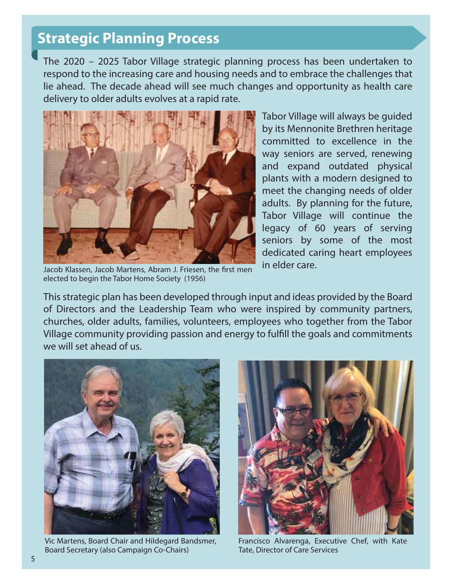# **Strategic Planning Process**

The 2020 – 2025 Tabor Village strategic planning process has been undertaken to respond to the increasing care and housing needs and to embrace the challenges that lie ahead. The decade ahead will see much changes and opportunity as health care delivery to older adults evolves at a rapid rate.



Tabor Village will always be guided by its Mennonite Brethren heritage committed to excellence in the way seniors are served, renewing and expand outdated physical plants with a modern designed to meet the changing needs of older adults. By planning for the future, Tabor Village will continue the legacy of 60 years of serving seniors by some of the most dedicated caring heart employees in elder care.

Jacob Klassen, Jacob Martens, Abram J. Friesen, the first men elected to begin the Tabor Home Society (1956)

This strategic plan has been developed through input and ideas provided by the Board of Directors and the Leadership Team who were inspired by community partners, churches, older adults, families, volunteers, employees who together from the Tabor Village community providing passion and energy to fulfill the goals and commitments we will set ahead of us.



Vic Martens, Board Chair and Hildegard Bandsmer, Board Secretary (also Campaign Co-Chairs)



Francisco Alvarenga, Executive Chef, with Kate Tate, Director of Care Services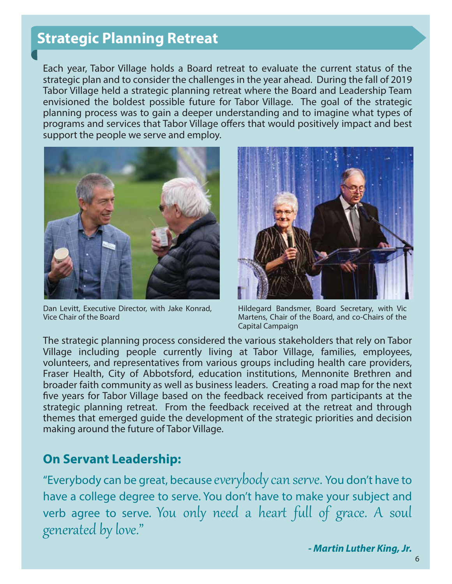# **Strategic Planning Retreat**

Each year, Tabor Village holds a Board retreat to evaluate the current status of the strategic plan and to consider the challenges in the year ahead. During the fall of 2019 Tabor Village held a strategic planning retreat where the Board and Leadership Team envisioned the boldest possible future for Tabor Village. The goal of the strategic planning process was to gain a deeper understanding and to imagine what types of programs and services that Tabor Village offers that would positively impact and best support the people we serve and employ.



Dan Levitt, Executive Director, with Jake Konrad, Vice Chair of the Board



Hildegard Bandsmer, Board Secretary, with Vic Martens, Chair of the Board, and co-Chairs of the Capital Campaign

The strategic planning process considered the various stakeholders that rely on Tabor Village including people currently living at Tabor Village, families, employees, volunteers, and representatives from various groups including health care providers, Fraser Health, City of Abbotsford, education institutions, Mennonite Brethren and broader faith community as well as business leaders. Creating a road map for the next five years for Tabor Village based on the feedback received from participants at the strategic planning retreat. From the feedback received at the retreat and through themes that emerged guide the development of the strategic priorities and decision making around the future of Tabor Village.

#### **On Servant Leadership:**

"Everybody can be great, because everybody can serve. You don't have to have a college degree to serve. You don't have to make your subject and verb agree to serve. You only need a heart full of grace. A soul generated by love."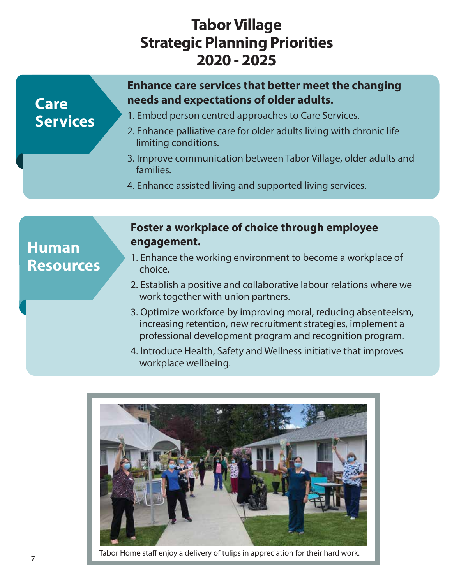# **Tabor Village Strategic Planning Priorities 2020 - 2025**

### **Care Services**

#### **Enhance care services that better meet the changing needs and expectations of older adults.**

- 1. Embed person centred approaches to Care Services.
- 2. Enhance palliative care for older adults living with chronic life limiting conditions.
- 3. Improve communication between Tabor Village, older adults and families.
- 4. Enhance assisted living and supported living services.

### **Human Resources**

#### **Foster a workplace of choice through employee engagement.**

- 1. Enhance the working environment to become a workplace of choice.
- 2. Establish a positive and collaborative labour relations where we work together with union partners.
- 3. Optimize workforce by improving moral, reducing absenteeism, increasing retention, new recruitment strategies, implement a professional development program and recognition program.
- 4. Introduce Health, Safety and Wellness initiative that improves workplace wellbeing.



Tabor Home staff enjoy a delivery of tulips in appreciation for their hard work.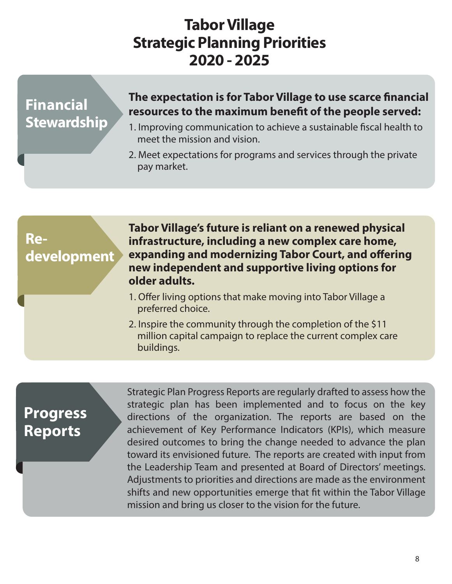# **Tabor Village Strategic Planning Priorities 2020 - 2025**

# **Financial Stewardship**

#### **The expectation is for Tabor Village to use scarce financial** resources to the maximum benefit of the people served:

- 1. Improving communication to achieve a sustainable fiscal health to meet the mission and vision.
- 2. Meet expectations for programs and services through the private pay market.

# **Redevelopment**

**Tabor Village's future is reliant on a renewed physical infrastructure, including a new complex care home, expanding and modernizing Tabor Court, and offering new independent and supportive living options for older adults.**

- 1. Offer living options that make moving into Tabor Village a preferred choice.
- 2. Inspire the community through the completion of the \$11 million capital campaign to replace the current complex care buildings.

# **Progress Reports**

Strategic Plan Progress Reports are regularly drafted to assess how the strategic plan has been implemented and to focus on the key directions of the organization. The reports are based on the achievement of Key Performance Indicators (KPIs), which measure desired outcomes to bring the change needed to advance the plan toward its envisioned future. The reports are created with input from the Leadership Team and presented at Board of Directors' meetings. Adjustments to priorities and directions are made as the environment shifts and new opportunities emerge that fit within the Tabor Village mission and bring us closer to the vision for the future.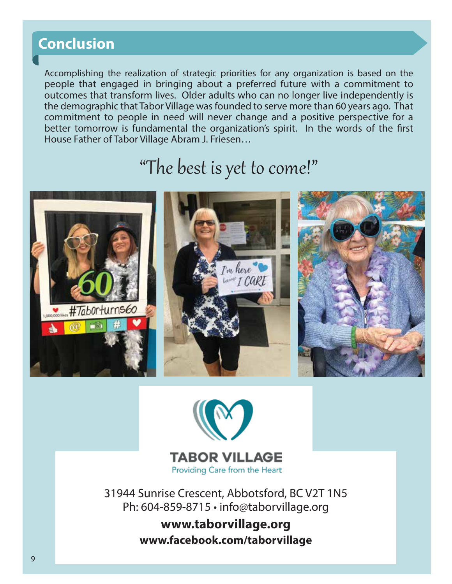# **Conclusion**

Accomplishing the realization of strategic priorities for any organization is based on the people that engaged in bringing about a preferred future with a commitment to outcomes that transform lives. Older adults who can no longer live independently is the demographic that Tabor Village was founded to serve more than 60 years ago. That commitment to people in need will never change and a positive perspective for a better tomorrow is fundamental the organization's spirit. In the words of the first House Father of Tabor Village Abram J. Friesen…

# "The best is yet to come!"





**TABOR VILLAGE** Providing Care from the Heart

31944 Sunrise Crescent, Abbotsford, BC V2T 1N5 Ph: 604-859-8715 • info@taborvillage.org

> **www.taborvillage.org www.facebook.com/taborvillage**